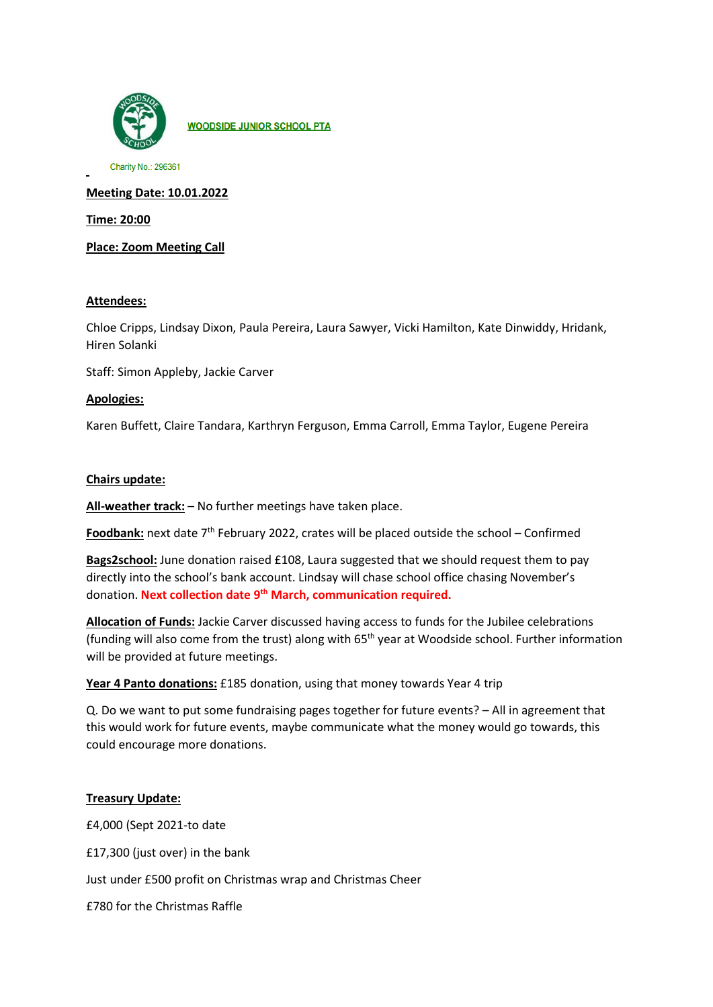

**WOODSIDE JUNIOR SCHOOL PTA** 

Charity No.: 296361

**Meeting Date: 10.01.2022**

**Time: 20:00**

**Place: Zoom Meeting Call**

# **Attendees:**

Chloe Cripps, Lindsay Dixon, Paula Pereira, Laura Sawyer, Vicki Hamilton, Kate Dinwiddy, Hridank, Hiren Solanki

Staff: Simon Appleby, Jackie Carver

### **Apologies:**

Karen Buffett, Claire Tandara, Karthryn Ferguson, Emma Carroll, Emma Taylor, Eugene Pereira

### **Chairs update:**

**All-weather track:** – No further meetings have taken place.

Foodbank: next date 7<sup>th</sup> February 2022, crates will be placed outside the school – Confirmed

**Bags2school:** June donation raised £108, Laura suggested that we should request them to pay directly into the school's bank account. Lindsay will chase school office chasing November's donation. **Next collection date 9th March, communication required.**

**Allocation of Funds:** Jackie Carver discussed having access to funds for the Jubilee celebrations (funding will also come from the trust) along with  $65<sup>th</sup>$  year at Woodside school. Further information will be provided at future meetings.

**Year 4 Panto donations:** £185 donation, using that money towards Year 4 trip

Q. Do we want to put some fundraising pages together for future events? – All in agreement that this would work for future events, maybe communicate what the money would go towards, this could encourage more donations.

# **Treasury Update:**

£4,000 (Sept 2021-to date

£17,300 (just over) in the bank

Just under £500 profit on Christmas wrap and Christmas Cheer

£780 for the Christmas Raffle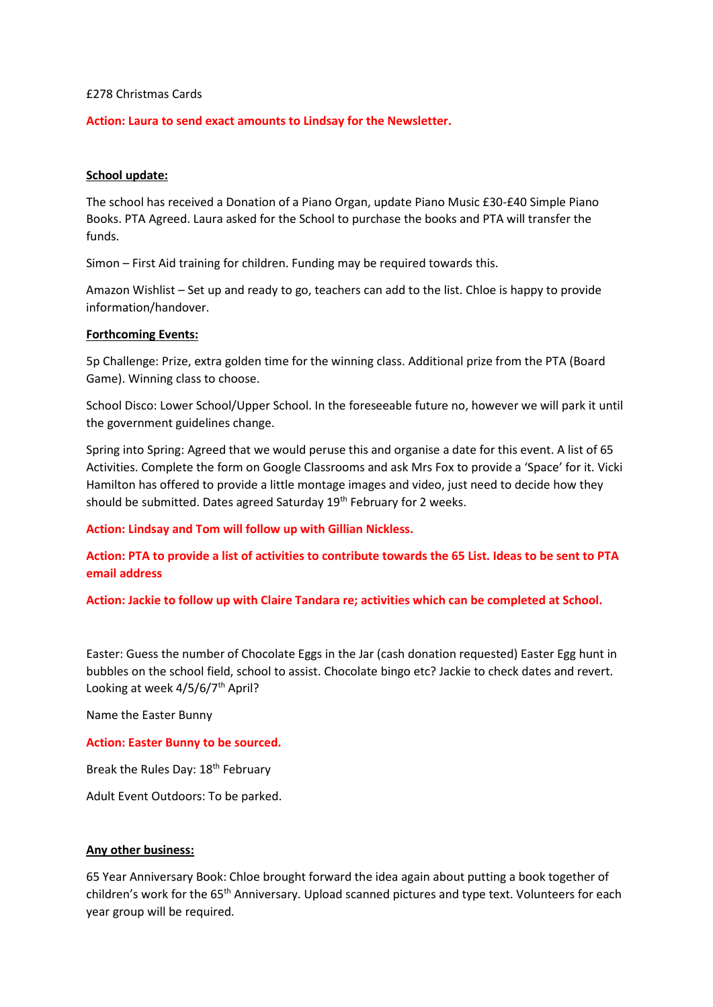#### £278 Christmas Cards

# **Action: Laura to send exact amounts to Lindsay for the Newsletter.**

### **School update:**

The school has received a Donation of a Piano Organ, update Piano Music £30-£40 Simple Piano Books. PTA Agreed. Laura asked for the School to purchase the books and PTA will transfer the funds.

Simon – First Aid training for children. Funding may be required towards this.

Amazon Wishlist – Set up and ready to go, teachers can add to the list. Chloe is happy to provide information/handover.

#### **Forthcoming Events:**

5p Challenge: Prize, extra golden time for the winning class. Additional prize from the PTA (Board Game). Winning class to choose.

School Disco: Lower School/Upper School. In the foreseeable future no, however we will park it until the government guidelines change.

Spring into Spring: Agreed that we would peruse this and organise a date for this event. A list of 65 Activities. Complete the form on Google Classrooms and ask Mrs Fox to provide a 'Space' for it. Vicki Hamilton has offered to provide a little montage images and video, just need to decide how they should be submitted. Dates agreed Saturday 19<sup>th</sup> February for 2 weeks.

**Action: Lindsay and Tom will follow up with Gillian Nickless.**

**Action: PTA to provide a list of activities to contribute towards the 65 List. Ideas to be sent to PTA email address**

**Action: Jackie to follow up with Claire Tandara re; activities which can be completed at School.**

Easter: Guess the number of Chocolate Eggs in the Jar (cash donation requested) Easter Egg hunt in bubbles on the school field, school to assist. Chocolate bingo etc? Jackie to check dates and revert. Looking at week 4/5/6/7<sup>th</sup> April?

Name the Easter Bunny

# **Action: Easter Bunny to be sourced.**

Break the Rules Day: 18<sup>th</sup> February

Adult Event Outdoors: To be parked.

# **Any other business:**

65 Year Anniversary Book: Chloe brought forward the idea again about putting a book together of children's work for the 65<sup>th</sup> Anniversary. Upload scanned pictures and type text. Volunteers for each year group will be required.